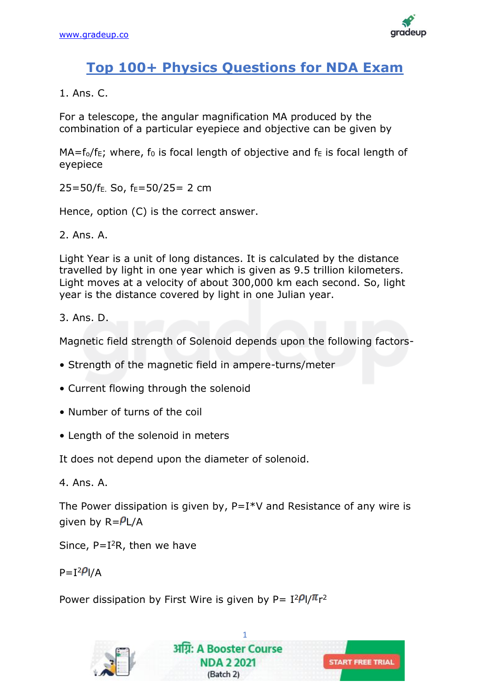

# **Top 100+ Physics Questions for NDA Exam**

1. Ans. C.

For a telescope, the angular magnification MA produced by the combination of a particular eyepiece and objective can be given by

 $MA = f_0/f_F$ ; where,  $f_0$  is focal length of objective and  $f_F$  is focal length of eyepiece

 $25=50/f_E$ . So,  $f_E=50/25=2$  cm

Hence, option (C) is the correct answer.

2. Ans. A.

Light Year is a unit of long distances. It is calculated by the distance travelled by light in one year which is given as 9.5 trillion kilometers. Light moves at a velocity of about 300,000 km each second. So, light year is the distance covered by light in one Julian year.

3. Ans. D.

Magnetic field strength of Solenoid depends upon the following factors-

- Strength of the magnetic field in ampere-turns/meter
- Current flowing through the solenoid
- Number of turns of the coil
- Length of the solenoid in meters

It does not depend upon the diameter of solenoid.

4. Ans. A.

The Power dissipation is given by,  $P=I*V$  and Resistance of any wire is given by  $R = P L/A$ 

Since,  $P=I^2R$ , then we have

 $P = I^2 P I/A$ 

Power dissipation by First Wire is given by P=  $I^2P I/Tr^2$ 

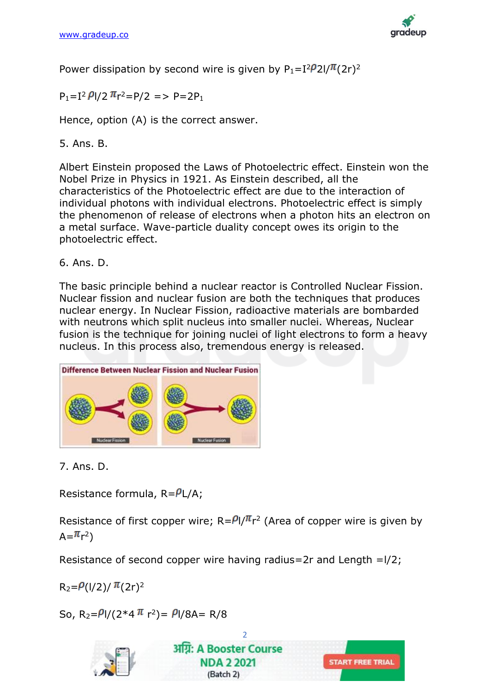

Power dissipation by second wire is given by  $P_1=I^2/2I/\pi(2r)^2$ 

 $P_1 = I^2 \frac{\rho_1}{2} \pi r^2 = P/2 \Rightarrow P = 2P_1$ 

Hence, option (A) is the correct answer.

5. Ans. B.

Albert Einstein proposed the Laws of Photoelectric effect. Einstein won the Nobel Prize in Physics in 1921. As Einstein described, all the characteristics of the Photoelectric effect are due to the interaction of individual photons with individual electrons. Photoelectric effect is simply the phenomenon of release of electrons when a photon hits an electron on a metal surface. Wave-particle duality concept owes its origin to the photoelectric effect.

6. Ans. D.

The basic principle behind a nuclear reactor is Controlled Nuclear Fission. Nuclear fission and nuclear fusion are both the techniques that produces nuclear energy. In Nuclear Fission, radioactive materials are bombarded with neutrons which split nucleus into smaller nuclei. Whereas, Nuclear fusion is the technique for joining nuclei of light electrons to form a heavy nucleus. In this process also, tremendous energy is released.



7. Ans. D.

Resistance formula,  $R = P L/A$ ;

Resistance of first copper wire;  $R = \frac{\rho_1}{\pi}r^2$  (Area of copper wire is given by  $\mathsf{A} = \pi_{\mathsf{r}^2}$ 

Resistance of second copper wire having radius=2r and Length = $1/2$ ;

 $R_2 = P(1/2)/\pi(2r)^2$ 

So, R<sub>2</sub>= $\frac{\rho}{2}$ l/(2\*4  $\pi$  r<sup>2</sup>)=  $\frac{\rho}{3}$ l/8A= R/8

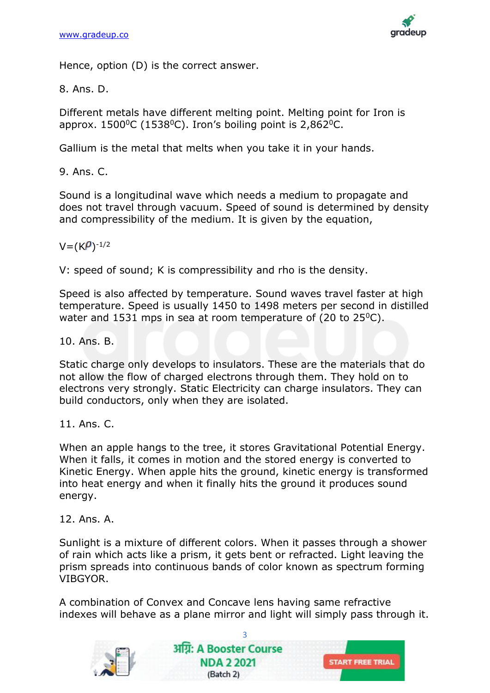

Hence, option (D) is the correct answer.

8. Ans. D.

Different metals have different melting point. Melting point for Iron is approx.  $1500^{\circ}$ C (1538 $^{\circ}$ C). Iron's boiling point is 2,862 $^{\circ}$ C.

Gallium is the metal that melts when you take it in your hands.

9. Ans. C.

Sound is a longitudinal wave which needs a medium to propagate and does not travel through vacuum. Speed of sound is determined by density and compressibility of the medium. It is given by the equation,

 $V = (K \rho)^{-1/2}$ 

V: speed of sound; K is compressibility and rho is the density.

Speed is also affected by temperature. Sound waves travel faster at high temperature. Speed is usually 1450 to 1498 meters per second in distilled water and 1531 mps in sea at room temperature of (20 to  $25^{\circ}$ C).

10. Ans. B.

Static charge only develops to insulators. These are the materials that do not allow the flow of charged electrons through them. They hold on to electrons very strongly. Static Electricity can charge insulators. They can build conductors, only when they are isolated.

11. Ans. C.

When an apple hangs to the tree, it stores Gravitational Potential Energy. When it falls, it comes in motion and the stored energy is converted to Kinetic Energy. When apple hits the ground, kinetic energy is transformed into heat energy and when it finally hits the ground it produces sound energy.

12. Ans. A.

Sunlight is a mixture of different colors. When it passes through a shower of rain which acts like a prism, it gets bent or refracted. Light leaving the prism spreads into continuous bands of color known as spectrum forming VIBGYOR.

A combination of Convex and Concave lens having same refractive indexes will behave as a plane mirror and light will simply pass through it.

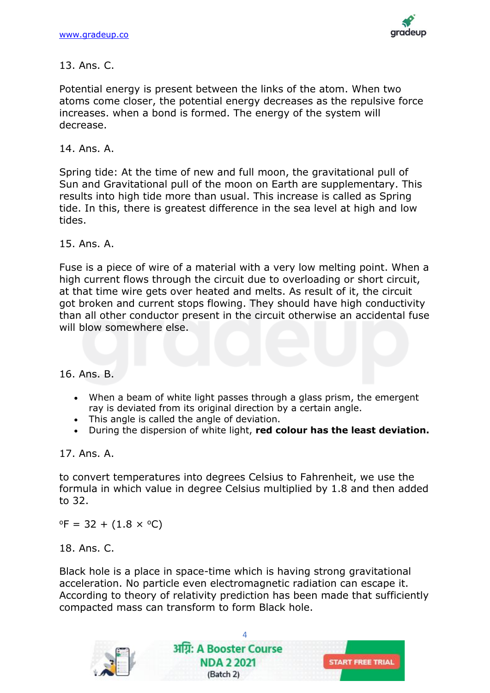

# 13. Ans. C.

Potential energy is present between the links of the atom. When two atoms come closer, the potential energy decreases as the repulsive force increases. when a bond is formed. The energy of the system will decrease.

### 14. Ans. A.

Spring tide: At the time of new and full moon, the gravitational pull of Sun and Gravitational pull of the moon on Earth are supplementary. This results into high tide more than usual. This increase is called as Spring tide. In this, there is greatest difference in the sea level at high and low tides.

15. Ans. A.

Fuse is a piece of wire of a material with a very low melting point. When a high current flows through the circuit due to overloading or short circuit, at that time wire gets over heated and melts. As result of it, the circuit got broken and current stops flowing. They should have high conductivity than all other conductor present in the circuit otherwise an accidental fuse will blow somewhere else.

#### 16. Ans. B.

- When a beam of white light passes through a glass prism, the emergent ray is deviated from its original direction by a certain angle.
- This angle is called the angle of deviation.
- During the dispersion of white light, **red colour has the least deviation.**

### 17. Ans. A.

to convert temperatures into degrees Celsius to Fahrenheit, we use the formula in which value in degree Celsius multiplied by 1.8 and then added to 32.

 $\text{P} = 32 + (1.8 \times \text{°C})$ 

18. Ans. C.

Black hole is a place in space-time which is having strong gravitational acceleration. No particle even electromagnetic radiation can escape it. According to theory of relativity prediction has been made that sufficiently compacted mass can transform to form Black hole.

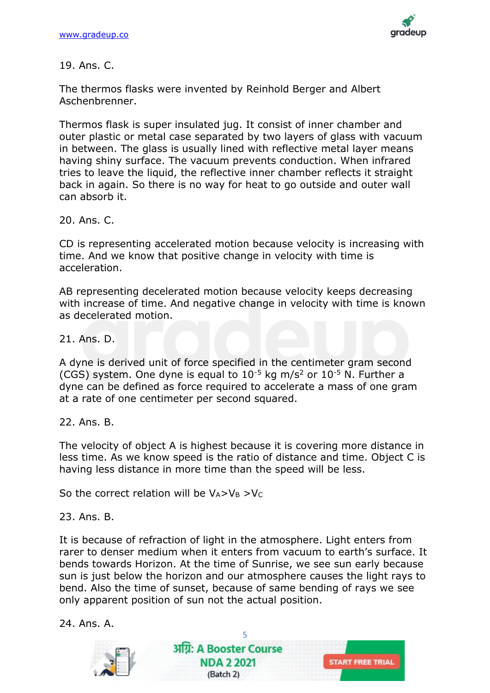

19. Ans. C.

The thermos flasks were invented by Reinhold Berger and Albert Aschenbrenner.

Thermos flask is super insulated jug. It consist of inner chamber and outer plastic or metal case separated by two layers of glass with vacuum in between. The glass is usually lined with reflective metal layer means having shiny surface. The vacuum prevents conduction. When infrared tries to leave the liquid, the reflective inner chamber reflects it straight back in again. So there is no way for heat to go outside and outer wall can absorb it.

20. Ans. C.

CD is representing accelerated motion because velocity is increasing with time. And we know that positive change in velocity with time is acceleration.

AB representing decelerated motion because velocity keeps decreasing with increase of time. And negative change in velocity with time is known as decelerated motion.

21. Ans. D.

A dyne is derived unit of force specified in the centimeter gram second (CGS) system. One dyne is equal to  $10^{-5}$  kg m/s<sup>2</sup> or  $10^{-5}$  N. Further a dyne can be defined as force required to accelerate a mass of one gram at a rate of one centimeter per second squared.

22. Ans. B.

The velocity of object A is highest because it is covering more distance in less time. As we know speed is the ratio of distance and time. Object C is having less distance in more time than the speed will be less.

So the correct relation will be  $V_A > V_B > V_C$ 

23. Ans. B.

It is because of refraction of light in the atmosphere. Light enters from rarer to denser medium when it enters from vacuum to earth's surface. It bends towards Horizon. At the time of Sunrise, we see sun early because sun is just below the horizon and our atmosphere causes the light rays to bend. Also the time of sunset, because of same bending of rays we see only apparent position of sun not the actual position.

24. Ans. A.

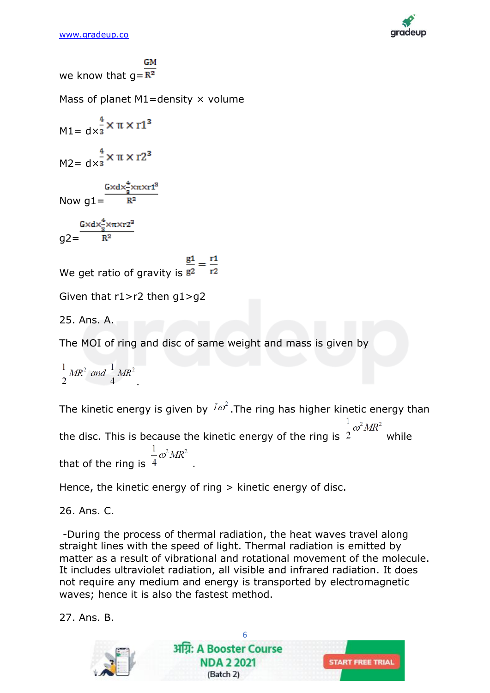

we know that  $q=R^2$ Mass of planet  $M1$ =density  $\times$  volume  $M1 = dx^{\frac{4}{3}} \times \pi \times r1^{3}$  $M2 = dx^{\frac{4}{3}} \times \pi \times r2^{3}$ Now  $g1 = \frac{G \times dx_3^4 \times \pi \times r1^3}{R^2}$  $g2=\frac{G\times d\times\frac{4}{a}\times\pi\times r2^{a}}{R^{2}}$ We get ratio of gravity is  $\frac{g_1}{g_2} = \frac{r_1}{r_2}$ Given that r1>r2 then g1>g2 25. Ans. A. The MOI of ring and disc of same weight and mass is given by

 $\frac{1}{2}MR^2$  and  $\frac{1}{4}MR^2$ 

The kinetic energy is given by  $I\omega^2$ . The ring has higher kinetic energy than the disc. This is because the kinetic energy of the ring is  $\frac{1}{2}\omega^2 MR^2$  while that of the ring is  $\frac{1}{4}\omega^2 M R^2$ 

Hence, the kinetic energy of ring > kinetic energy of disc.

26. Ans. C.

-During the process of thermal radiation, the heat waves travel along straight lines with the speed of light. Thermal radiation is emitted by matter as a result of vibrational and rotational movement of the molecule. It includes ultraviolet radiation, all visible and infrared radiation. It does not require any medium and energy is transported by electromagnetic waves; hence it is also the fastest method.

27. Ans. B.

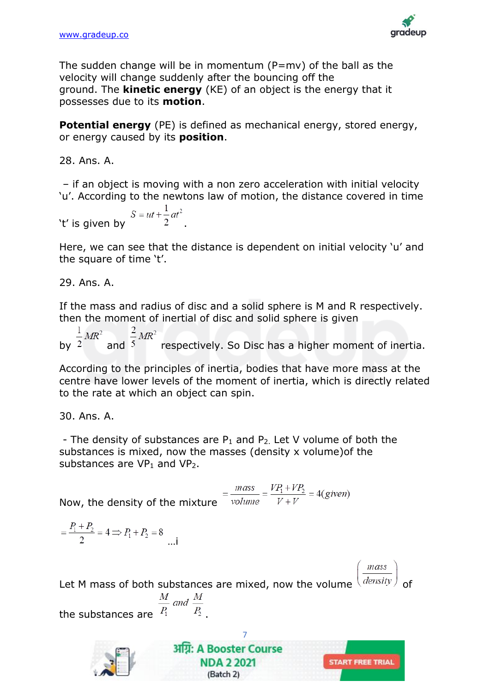

The sudden change will be in momentum  $(P=mv)$  of the ball as the velocity will change suddenly after the bouncing off the ground. The **kinetic energy** (KE) of an object is the energy that it possesses due to its **motion**.

**Potential energy** (PE) is defined as mechanical energy, stored energy, or energy caused by its **position**.

28. Ans. A.

– if an object is moving with a non zero acceleration with initial velocity 'u'. According to the newtons law of motion, the distance covered in time

't' is given by 
$$
S = ut + \frac{1}{2}at^2.
$$

Here, we can see that the distance is dependent on initial velocity 'u' and the square of time 't'.

29. Ans. A.

If the mass and radius of disc and a solid sphere is M and R respectively. then the moment of inertial of disc and solid sphere is given

by  $\frac{1}{2}MR^2$  and  $\frac{2}{5}MR^2$  respectively. So Disc has a higher moment of inertia.

According to the principles of inertia, bodies that have more mass at the centre have lower levels of the moment of inertia, which is directly related to the rate at which an object can spin.

30. Ans. A.

- The density of substances are  $P_1$  and  $P_2$ . Let V volume of both the substances is mixed, now the masses (density x volume)of the substances are  $VP_1$  and  $VP_2$ .

Now, the density of the mixture  $=$   $\frac{mass}{volume}$   $=$   $\frac{VP_1 + VP_2}{V + V}$   $=$  4(given)

$$
= \frac{P_1 + P_2}{2} = 4 \Longrightarrow P_1 + P_2 = 8
$$
 ...i

 $mass$ 

**START FREE TRIAL** 

Let M mass of both substances are mixed, now the volume  $\left(\frac{density}{density}\right)$ the substances are  $\frac{M}{P_1}$  and  $\frac{M}{P_2}$ 

> अग्नि: A Booster Course **NDA 2 2021**

> > (Batch 2)

7

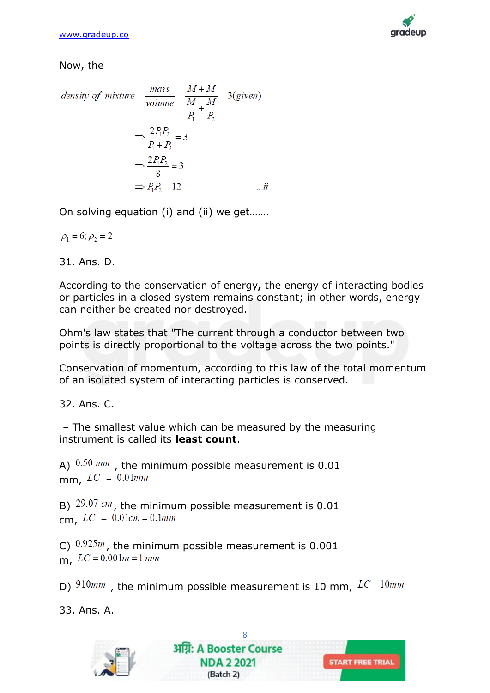

### Now, the

density of mixture = 
$$
\frac{mass}{volume} = \frac{M+M}{\frac{P_1}{P_1} + \frac{M}{P_2}} = 3(given)
$$
  
\n
$$
\Rightarrow \frac{2P_1P_2}{P_1 + P_2} = 3
$$
\n
$$
\Rightarrow \frac{2P_1P_2}{8} = 3
$$
\n
$$
\Rightarrow P_1P_2 = 12 \qquad \qquad \dots \text{ii}
$$

On solving equation (i) and (ii) we get…….

$$
\rho_1=6; \rho_2=2
$$

31. Ans. D.

According to the conservation of energy**,** the energy of interacting bodies or particles in a closed system remains constant; in other words, energy can neither be created nor destroyed.

Ohm's law states that "The current through a conductor between two points is directly proportional to the voltage across the two points."

Conservation of momentum, according to this law of the total momentum of an isolated system of interacting particles is conserved.

32. Ans. C.

– The smallest value which can be measured by the measuring instrument is called its **least count**.

A)  $0.50$  mm, the minimum possible measurement is 0.01 mm,  $LC = 0.01$ mm

B)  $29.07$  cm, the minimum possible measurement is 0.01 cm,  $LC = 0.01cm = 0.1mm$ 

C)  $0.925m$ , the minimum possible measurement is 0.001 m,  $LC = 0.001m = 1$  mm

D)  $910mm$ , the minimum possible measurement is 10 mm,  $LC = 10mm$ 

33. Ans. A.

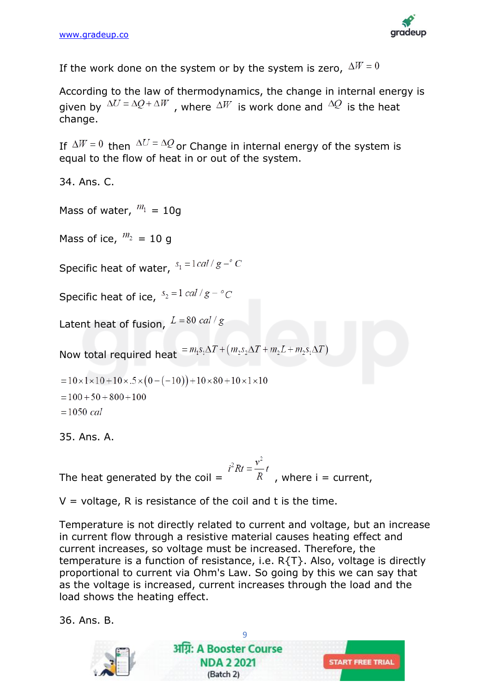

If the work done on the system or by the system is zero,  $\Delta W = 0$ 

According to the law of thermodynamics, the change in internal energy is given by  $\Delta U = \Delta Q + \Delta W$ , where  $\Delta W$  is work done and  $\Delta Q$  is the heat change.

If  $\Delta W = 0$  then  $\Delta U = \Delta Q$  or Change in internal energy of the system is equal to the flow of heat in or out of the system.

34. Ans. C.

Mass of water,  $m_1 = 10g$ 

Mass of ice,  $m_2 = 10$  g

Specific heat of water,  $s_1 = 1 \, \text{cal} / g - c$ 

Specific heat of ice,  $s_2 = 1$  cal /  $g - {}^{\circ}C$ 

Latent heat of fusion,  $L = 80$  cal/g

Now total required heat  $=m_1s_1\Delta T + (m_2s_2\Delta T + m_2L + m_2s_1\Delta T)$ 

 $= 10 \times 1 \times 10 + 10 \times 0.5 \times (0 - (-10)) + 10 \times 80 + 10 \times 1 \times 10$ 

 $= 100 + 50 + 800 + 100$ 

 $= 1050$  cal

35. Ans. A.

The heat generated by the coil =  $i^2 R t = \frac{v^2}{R} t$ , where i = current,

 $V =$  voltage, R is resistance of the coil and t is the time.

Temperature is not directly related to current and voltage, but an increase in current flow through a resistive material causes heating effect and current increases, so voltage must be increased. Therefore, the temperature is a function of resistance, i.e. R{T}. Also, voltage is directly proportional to current via Ohm's Law. So going by this we can say that as the voltage is increased, current increases through the load and the load shows the heating effect.

36. Ans. B.

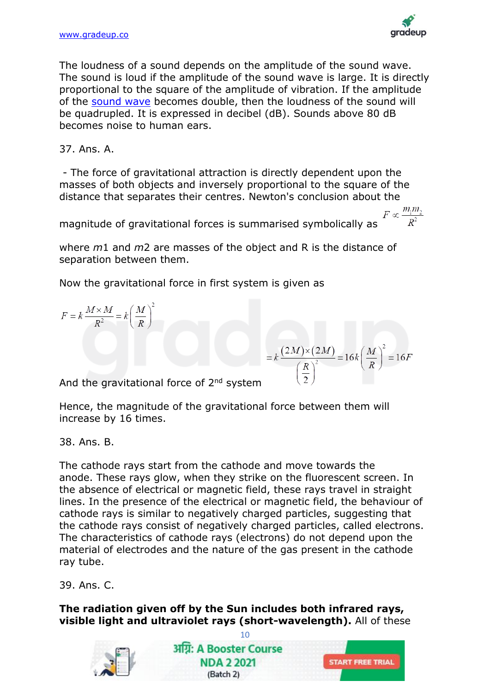

 $F \propto \frac{m_1 m_2}{R^2}$ 

The loudness of a sound depends on the amplitude of the sound wave. The sound is loud if the amplitude of the sound wave is large. It is directly proportional to the square of the amplitude of vibration. If the amplitude of the [sound wave](https://byjus.com/physics/sound-waves/) becomes double, then the loudness of the sound will be quadrupled. It is expressed in decibel (dB). Sounds above 80 dB becomes noise to human ears.

37. Ans. A.

- The force of gravitational attraction is directly dependent upon the masses of both objects and inversely proportional to the square of the distance that separates their centres. Newton's conclusion about the

magnitude of gravitational forces is summarised symbolically as

where *m*1 and *m*2 are masses of the object and R is the distance of separation between them.

Now the gravitational force in first system is given as

 $F = k \frac{M \times M}{R^2} = k \left(\frac{M}{R}\right)^2$ 

 $= k \frac{(2M)\times (2M)}{\left(\frac{R}{2}\right)^2} = 16k \left(\frac{M}{R}\right)^2 = 16F$ 

And the gravitational force of 2<sup>nd</sup> system

Hence, the magnitude of the gravitational force between them will increase by 16 times.

38. Ans. B.

The cathode rays start from the cathode and move towards the anode. These rays glow, when they strike on the fluorescent screen. In the absence of electrical or magnetic field, these rays travel in straight lines. In the presence of the electrical or magnetic field, the behaviour of cathode rays is similar to negatively charged particles, suggesting that the cathode rays consist of negatively charged particles, called electrons. The characteristics of cathode rays (electrons) do not depend upon the material of electrodes and the nature of the gas present in the cathode ray tube.

39. Ans. C.

**The radiation given off by the Sun includes both infrared rays, visible light and ultraviolet rays (short-wavelength).** All of these

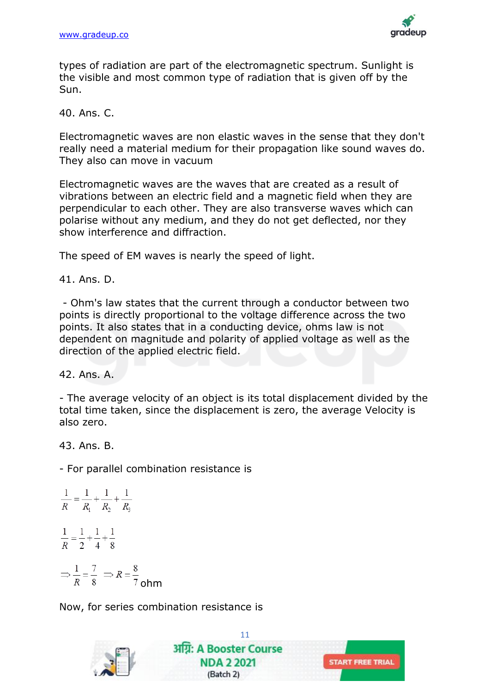

types of radiation are part of the electromagnetic spectrum. Sunlight is the visible and most common type of radiation that is given off by the Sun.

40. Ans. C.

Electromagnetic waves are non elastic waves in the sense that they don't really need a material medium for their propagation like sound waves do. They also can move in vacuum

Electromagnetic waves are the waves that are created as a result of vibrations between an electric field and a magnetic field when they are perpendicular to each other. They are also transverse waves which can polarise without any medium, and they do not get deflected, nor they show interference and diffraction.

The speed of EM waves is nearly the speed of light.

41. Ans. D.

- Ohm's law states that the current through a conductor between two points is directly proportional to the voltage difference across the two points. It also states that in a conducting device, ohms law is not dependent on magnitude and polarity of applied voltage as well as the direction of the applied electric field.

42. Ans. A.

- The average velocity of an object is its total displacement divided by the total time taken, since the displacement is zero, the average Velocity is also zero.

43. Ans. B.

- For parallel combination resistance is

$$
\frac{1}{R} = \frac{1}{R_1} + \frac{1}{R_2} + \frac{1}{R_3}
$$

$$
\frac{1}{R} = \frac{1}{2} + \frac{1}{4} + \frac{1}{8}
$$

$$
\Rightarrow \frac{1}{R} = \frac{7}{8} \Rightarrow R = \frac{8}{7}
$$
ohm

Now, for series combination resistance is

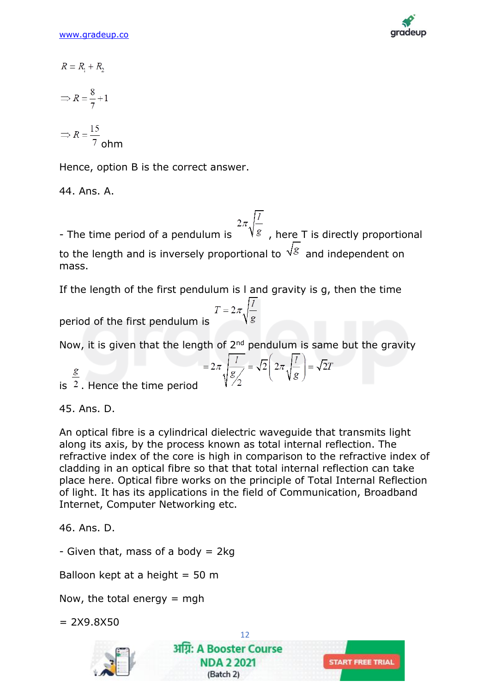

$$
R = R_1 + R_2
$$

$$
\Rightarrow R = \frac{8}{7} + 1
$$

$$
\Rightarrow R = \frac{15}{7} \text{ ohm}
$$

Hence, option B is the correct answer.

44. Ans. A.

- The time period of a pendulum is  $\frac{2\pi\sqrt{\frac{l}{g}}}{\sqrt{s}}$ , here T is directly proportional to the length and is inversely proportional to  $\sqrt{s}$  and independent on mass.

If the length of the first pendulum is l and gravity is g, then the time

period of the first pendulum is 
$$
T = 2\pi \sqrt{\frac{l}{g}}
$$

Now, it is given that the length of  $2<sup>nd</sup>$  pendulum is same but the gravity

$$
\frac{g}{2}
$$
 is  $\frac{g}{2}$ . Hence the time period is  $2\pi \sqrt{\frac{I}{g/2}} = \sqrt{2} \left( 2\pi \sqrt{\frac{I}{g}} \right) = \sqrt{2}T$ 

45. Ans. D.

An optical fibre is a cylindrical dielectric waveguide that transmits light along its axis, by the process known as total internal reflection. The refractive index of the core is high in comparison to the refractive index of cladding in an optical fibre so that that total internal reflection can take place here. Optical fibre works on the principle of Total Internal Reflection of light. It has its applications in the field of Communication, Broadband Internet, Computer Networking etc.

46. Ans. D.

- Given that, mass of a body  $= 2kg$ 

Balloon kept at a height  $= 50$  m

Now, the total energy  $=$  mgh

 $= 2X9.8X50$ 



12 अग्नि: A Booster Course **NDA 2 2021** (Batch 2)

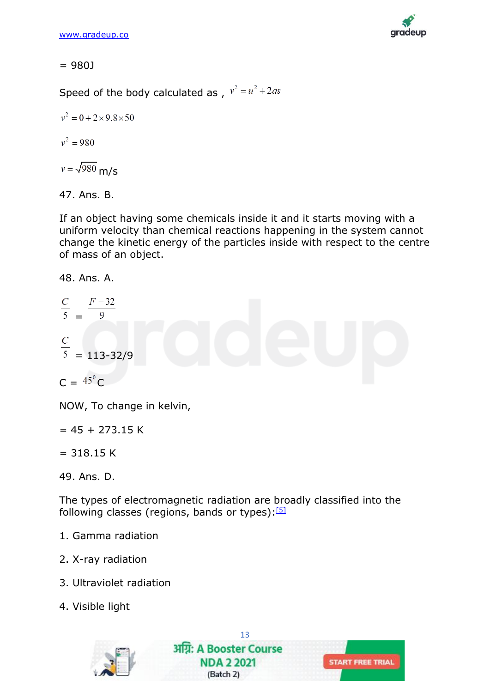

= 980J

Speed of the body calculated as,  $v^2 = u^2 + 2as$ 

$$
v^2 = 0 + 2 \times 9.8 \times 50
$$

$$
v^2=980
$$

$$
v = \sqrt{980} \text{ m/s}
$$

# 47. Ans. B.

If an object having some chemicals inside it and it starts moving with a uniform velocity than chemical reactions happening in the system cannot change the kinetic energy of the particles inside with respect to the centre of mass of an object.

48. Ans. A.

$$
\frac{C}{5} = \frac{F-32}{9}
$$

$$
\frac{C}{5} = 113-32/9
$$

 $C = {}^{45}C$ 

NOW, To change in kelvin,

 $= 45 + 273.15$  K

 $= 318.15 K$ 

The types of electromagnetic radiation are broadly classified into the following classes (regions, bands or types): $[5]$ 

- 1. Gamma radiation
- 2. X-ray radiation
- 3. Ultraviolet radiation
- 4. Visible light



<sup>49.</sup> Ans. D.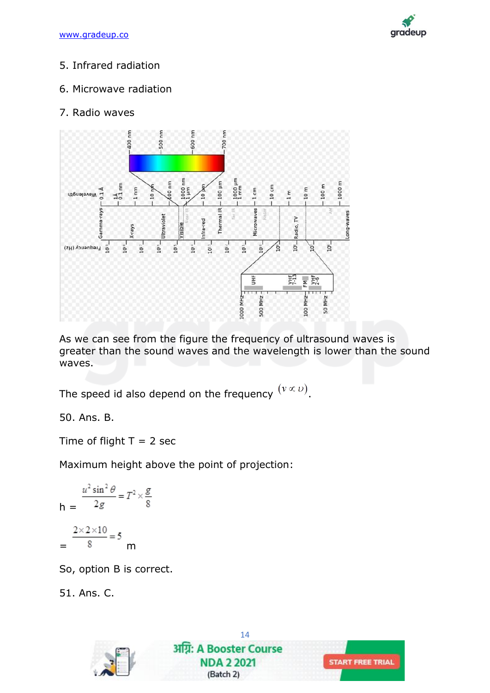

# 5. Infrared radiation

# 6. Microwave radiation

# 7. Radio waves



As we can see from the figure the frequency of ultrasound waves is greater than the sound waves and the wavelength is lower than the sound waves.

The speed id also depend on the frequency  $(v \propto v)$ .

50. Ans. B.

Time of flight  $T = 2$  sec

Maximum height above the point of projection:

$$
h = \frac{\frac{u^2 \sin^2 \theta}{2g}}{8} = T^2 \times \frac{g}{8}
$$

$$
= \frac{2 \times 2 \times 10}{8} = 5 \text{ m}
$$

So, option B is correct.

51. Ans. C.

14 अग्नि: A Booster Course **NDA 2 2021 START FREE TRIAL** (Batch 2)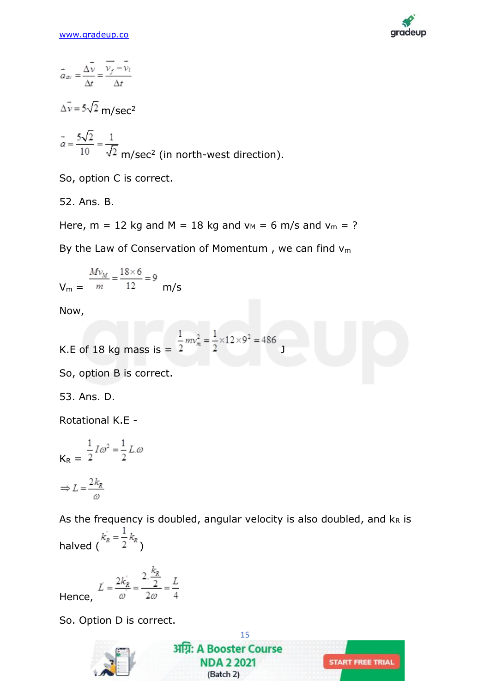

$$
\vec{a}_{av} = \frac{\Delta \vec{v}}{\Delta t} = \frac{\vec{v}_f - \vec{v}_i}{\Delta t}
$$

 $\vec{\Delta v}$  = 5 $\sqrt{2}$  m/sec<sup>2</sup>

$$
\vec{a} = \frac{5\sqrt{2}}{10} = \frac{1}{\sqrt{2}}
$$
 m/sec<sup>2</sup> (in north-west direction).

So, option C is correct.

52. Ans. B.

Here,  $m = 12$  kg and  $M = 18$  kg and  $v_M = 6$  m/s and  $v_m = ?$ 

By the Law of Conservation of Momentum, we can find  $v_m$ 

$$
V_{\rm m} = \frac{Mv_{\rm M}}{m} = \frac{18 \times 6}{12} = 9
$$
 m/s

Now,

K.E of 18 kg mass is 
$$
=
$$
  $\frac{1}{2}mv_m^2 = \frac{1}{2} \times 12 \times 9^2 = 486$ 

So, option B is correct.

53. Ans. D.

Rotational K.E -

$$
K_{R} = \frac{1}{2}I\omega^{2} = \frac{1}{2}L.\omega
$$

$$
\Rightarrow L = \frac{2k_{R}}{\omega}
$$

As the frequency is doubled, angular velocity is also doubled, and  $k_R$  is halved  $(k_R^{i} = \frac{1}{2} k_R)$ 

 $\vec{L} = \frac{2k_R^{'}}{q} = \frac{2 \cdot \frac{k_R^{'}}{2}}{2q} = \frac{L}{4}$ Hence,

So. Option D is correct.

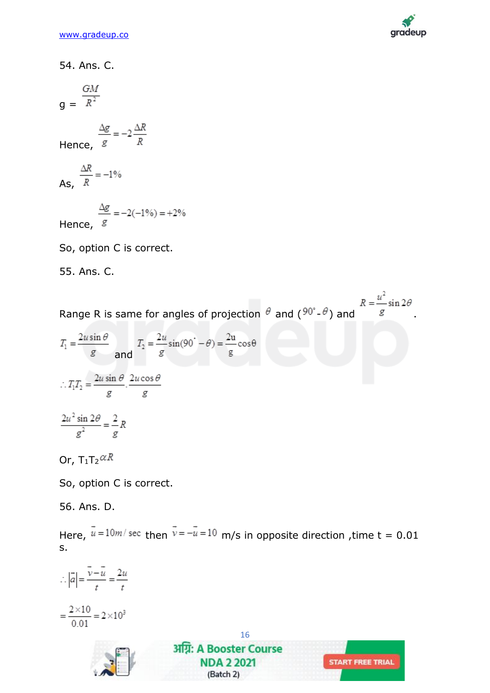

54. Ans. C.

 $g = \frac{GM}{R^2}$ 

Hence, 
$$
\frac{\Delta g}{g} = -2\frac{\Delta R}{R}
$$

As,  $\frac{\Delta R}{R} = -1\%$ 

Hence, 
$$
\frac{\Delta g}{g} = -2(-1\%) = +2\%
$$

So, option C is correct.

55. Ans. C.

Range R is same for angles of projection  $\theta$  and  $(90^\circ - \theta)$  and  $R = \frac{u^2}{g} \sin 2\theta$ 

$$
T_1 = \frac{2u\sin\theta}{g} \quad \text{and} \quad T_2 = \frac{2u}{g}\sin(90^\circ - \theta) = \frac{2u}{g}\cos\theta
$$
\n
$$
\therefore T_1T_2 = \frac{2u\sin\theta}{g} \cdot \frac{2u\cos\theta}{g}
$$
\n
$$
\frac{2u^2\sin 2\theta}{g^2} = \frac{2}{g}R
$$

Or,  $T_1T_2$  $\alpha$ R

So, option C is correct.

56. Ans. D.

Here,  $\vec{u} = 10m/\text{sec}$  then  $\vec{v} = -\vec{u} = 10$  m/s in opposite direction, time t = 0.01 s.

 $\therefore |\vec{a}| = \frac{\vec{v} - \vec{u}}{t} = \frac{2u}{t}$  $=\frac{2\times10}{0.01}=2\times10^3$ 



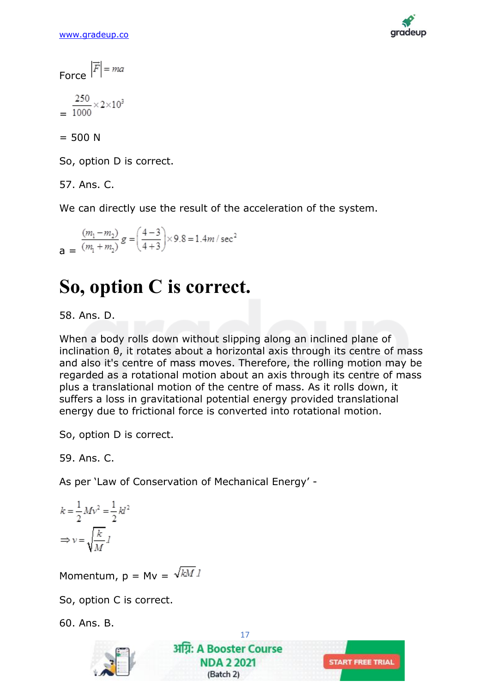

Force  $|\vec{F}|$  = ma

$$
=\frac{250}{1000}\times2\times10^3
$$

 $= 500 N$ 

So, option D is correct.

57. Ans. C.

We can directly use the result of the acceleration of the system.

$$
\frac{(m_1 - m_2)}{(m_1 + m_2)} g = \left(\frac{4 - 3}{4 + 3}\right) \times 9.8 = 1.4 m/sec^2
$$

# **So, option C is correct.**

### 58. Ans. D.

When a body rolls down without slipping along an inclined plane of inclination θ, it rotates about a horizontal axis through its centre of mass and also it's centre of mass moves. Therefore, the rolling motion may be regarded as a rotational motion about an axis through its centre of mass plus a translational motion of the centre of mass. As it rolls down, it suffers a loss in gravitational potential energy provided translational energy due to frictional force is converted into rotational motion.

So, option D is correct.

59. Ans. C.

As per 'Law of Conservation of Mechanical Energy' -

$$
k = \frac{1}{2} M v^2 = \frac{1}{2} k l^2
$$

$$
\Rightarrow v = \sqrt{\frac{k}{M}} l
$$

Momentum,  $p = Mv = \sqrt{kM}$ 

So, option C is correct.

60. Ans. B.

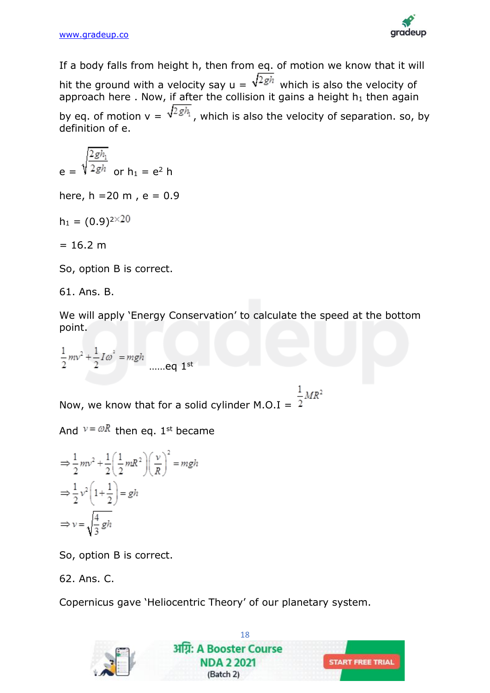

If a body falls from height h, then from eq. of motion we know that it will hit the ground with a velocity say  $u = \sqrt{2gh}$  which is also the velocity of approach here . Now, if after the collision it gains a height  $h_1$  then again by eq. of motion  $v = \sqrt{2gh_1}$ , which is also the velocity of separation. so, by definition of e.

$$
e = \sqrt{\frac{2gh_1}{2gh}}
$$
 or  $h_1 = e^2 h$ 

here,  $h = 20$  m,  $e = 0.9$ 

 $h_1 = (0.9)^{2 \times 20}$ 

 $= 16.2 m$ 

So, option B is correct.

61. Ans. B.

We will apply 'Energy Conservation' to calculate the speed at the bottom point.

$$
\frac{1}{2}mv^2 + \frac{1}{2}I\omega^2 = mgh
$$
 .....eq 1<sup>st</sup>

Now, we know that for a solid cylinder M.O.I =  $\frac{1}{2}MR^2$ 

And  $v = \omega R$  then eq. 1st became

$$
\Rightarrow \frac{1}{2}mv^2 + \frac{1}{2}\left(\frac{1}{2}mR^2\right)\left(\frac{v}{R}\right)^2 = mgh
$$
  

$$
\Rightarrow \frac{1}{2}v^2\left(1 + \frac{1}{2}\right) = gh
$$
  

$$
\Rightarrow v = \sqrt{\frac{4}{3}gh}
$$

So, option B is correct.

62. Ans. C.

Copernicus gave 'Heliocentric Theory' of our planetary system.

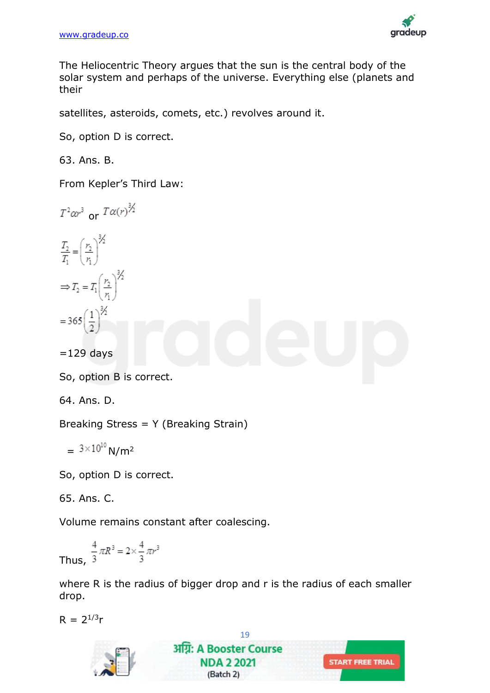

The Heliocentric Theory argues that the sun is the central body of the solar system and perhaps of the universe. Everything else (planets and their

satellites, asteroids, comets, etc.) revolves around it.

So, option D is correct.

63. Ans. B.

From Kepler's Third Law:

 $T^2 \alpha r^3$  or  $T \alpha(r)^{3/2}$ 

$$
\frac{T_2}{T_1} = \left(\frac{r_2}{r_1}\right)^{\frac{3}{2}}
$$
\n
$$
\Rightarrow T_2 = T_1 \left(\frac{r_2}{r_1}\right)^{\frac{3}{2}}
$$
\n
$$
= 365 \left(\frac{1}{2}\right)^{\frac{3}{2}}
$$

 $=129$  days

So, option B is correct.

64. Ans. D.

Breaking Stress = Y (Breaking Strain)

$$
= 3 \times 10^{10} \text{ N/m}^2
$$

So, option D is correct.

65. Ans. C.

Volume remains constant after coalescing.

Thus, 
$$
\frac{4}{3}\pi R^3 = 2 \times \frac{4}{3}\pi r^3
$$

where R is the radius of bigger drop and r is the radius of each smaller drop.

 $R = 2^{1/3}r$ 

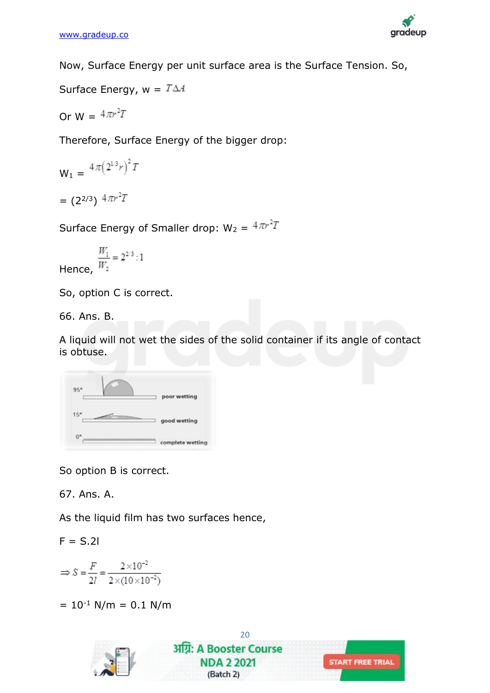

Now, Surface Energy per unit surface area is the Surface Tension. So,

Surface Energy,  $w = T\Delta A$ 

Or  $W = 4\pi r^2T$ 

Therefore, Surface Energy of the bigger drop:

$$
W_1 = \frac{4\pi (2^{1/3}r)^2 T}{(2^{2/3}) \cdot 4\pi r^2 T}
$$

Surface Energy of Smaller drop:  $W_2 = 4\pi r^2 T$ 

$$
\frac{W_1}{W_2} = 2^{2/3} : 1
$$

Hence,

So, option C is correct.

66. Ans. B.

A liquid will not wet the sides of the solid container if its angle of contact is obtuse.

| 95"         | poor wetting     |
|-------------|------------------|
| 15"         | good wetting     |
| $0^{\circ}$ | complete wetting |

So option B is correct.

67. Ans. A.

As the liquid film has two surfaces hence,

 $F = S.21$ 

$$
\Rightarrow S = \frac{F}{2l} = \frac{2 \times 10^{-2}}{2 \times (10 \times 10^{-2})}
$$

 $= 10^{-1}$  N/m  $= 0.1$  N/m

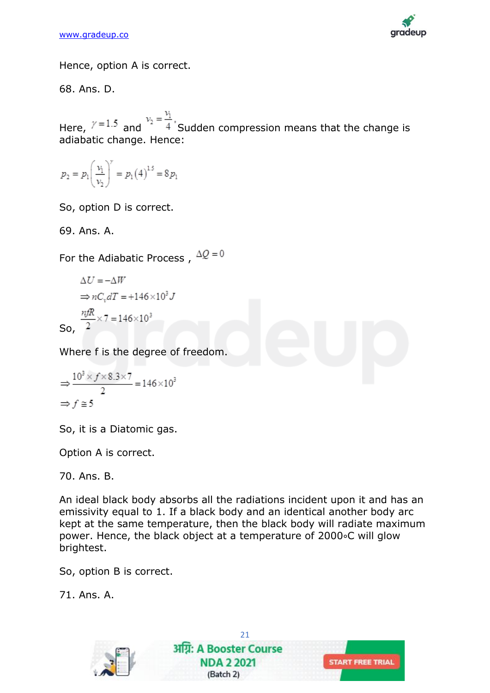

Hence, option A is correct.

68. Ans. D.

Here,  $\gamma = 1.5$  and  $v_2 = \frac{v_1}{4}$ , Sudden compression means that the change is adiabatic change. Hence:

$$
p_2 = p_1 \left(\frac{v_1}{v_2}\right)^{\gamma} = p_1 (4)^{15} = 8 p_1
$$

So, option D is correct.

69. Ans. A.

For the Adiabatic Process,  $\Delta Q = 0$ 

$$
\Delta U = -\Delta W
$$
  
\n
$$
\Rightarrow nC_v dT = +146 \times 10^3 J
$$
  
\nSo, 
$$
\frac{n f R}{2} \times 7 = 146 \times 10^3
$$

Where f is the degree of freedom.

$$
\Rightarrow \frac{10^3 \times f \times 8.3 \times 7}{2} = 146 \times 10^3
$$
  

$$
\Rightarrow f \cong 5
$$

So, it is a Diatomic gas.

Option A is correct.

70. Ans. B.

An ideal black body absorbs all the radiations incident upon it and has an emissivity equal to 1. If a black body and an identical another body arc kept at the same temperature, then the black body will radiate maximum power. Hence, the black object at a temperature of 2000∘C will glow brightest.

So, option B is correct.

71. Ans. A.

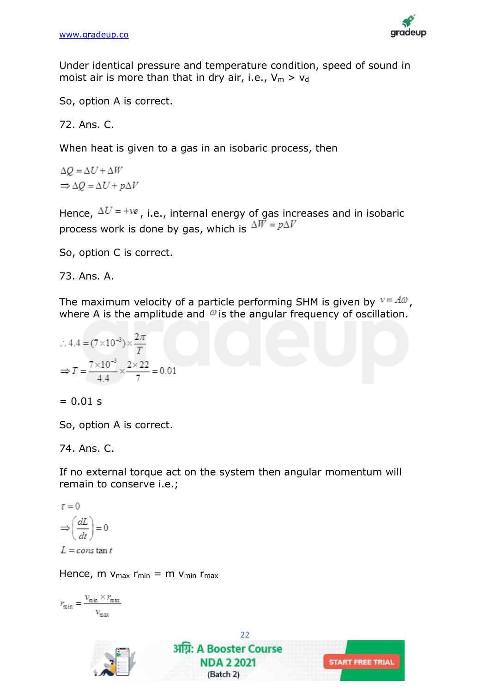

Under identical pressure and temperature condition, speed of sound in moist air is more than that in dry air, i.e.,  $V_m > V_d$ 

So, option A is correct.

72. Ans. C.

When heat is given to a gas in an isobaric process, then

 $\Delta O = \Delta U + \Delta W$  $\Rightarrow \Delta O = \Delta U + p \Delta V$ 

Hence,  $\Delta U$  = +ve, i.e., internal energy of gas increases and in isobaric process work is done by gas, which is  $\Delta W = p \Delta V$ 

So, option C is correct.

73. Ans. A.

The maximum velocity of a particle performing SHM is given by  $v = A\omega$ , where A is the amplitude and  $\omega$  is the angular frequency of oscillation.

$$
\therefore 4.4 = (7 \times 10^{-3}) \times \frac{2\pi}{T}
$$

$$
\Rightarrow T = \frac{7 \times 10^{-3}}{4.4} \times \frac{2 \times 22}{7} = 0.01
$$

 $= 0.01$  s

So, option A is correct.

74. Ans. C.

If no external torque act on the system then angular momentum will remain to conserve i.e.;

22

(Batch 2)

$$
\tau = 0
$$

$$
\Rightarrow \left(\frac{dL}{dt}\right) = 0
$$

 $L = const$  tan t

Hence, m  $V_{\text{max}}$  r<sub>min</sub> = m  $V_{\text{min}}$  r<sub>max</sub>

$$
r_{\min} = \frac{\nu_{\min} \times r_{\max}}{\nu_{\max}}
$$

अग्रि: A Booster Course **START FREE TRIAL NDA 2 2021**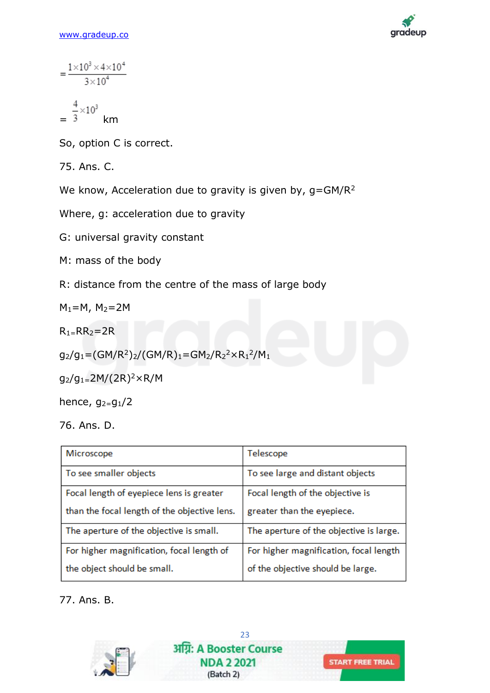

$$
= \frac{1 \times 10^3 \times 4 \times 10^4}{3 \times 10^4}
$$

$$
= \frac{4}{3} \times 10^3
$$
 km

So, option C is correct.

75. Ans. C.

We know, Acceleration due to gravity is given by,  $g = GM/R<sup>2</sup>$ 

Where, g: acceleration due to gravity

G: universal gravity constant

M: mass of the body

R: distance from the centre of the mass of large body

 $M_1=M$ ,  $M_2=2M$ 

 $R_1 = RR_2 = 2R$ 

$$
g_2/g_1 = (GM/R^2)_2/(GM/R)_1 = GM_2/R_2^2 \times R_1^2/M_1
$$

 $g_2/g_1 = 2M/(2R)^2 \times R/M$ 

hence,  $g_{2}=g_1/2$ 

76. Ans. D.

| Microscope                                   | Telescope                               |  |
|----------------------------------------------|-----------------------------------------|--|
| To see smaller objects                       | To see large and distant objects        |  |
| Focal length of eyepiece lens is greater     | Focal length of the objective is        |  |
| than the focal length of the objective lens. | greater than the eyepiece.              |  |
| The aperture of the objective is small.      | The aperture of the objective is large. |  |
| For higher magnification, focal length of    | For higher magnification, focal length  |  |
| the object should be small.                  | of the objective should be large.       |  |

77. Ans. B.

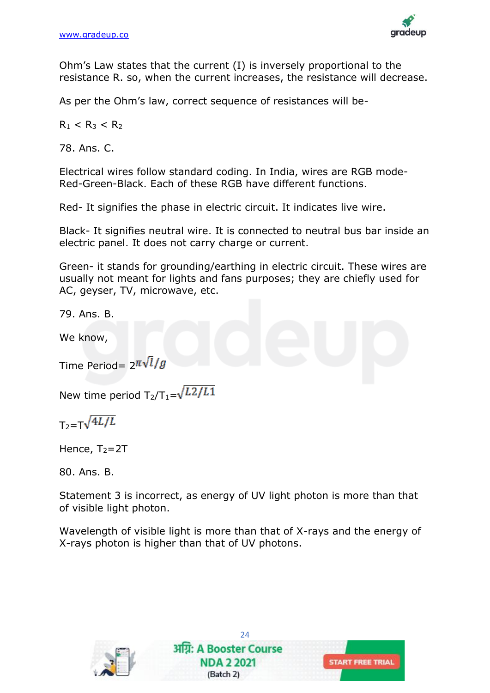

Ohm's Law states that the current (I) is inversely proportional to the resistance R. so, when the current increases, the resistance will decrease.

As per the Ohm's law, correct sequence of resistances will be-

 $R_1 < R_3 < R_2$ 

78. Ans. C.

Electrical wires follow standard coding. In India, wires are RGB mode-Red-Green-Black. Each of these RGB have different functions.

Red- It signifies the phase in electric circuit. It indicates live wire.

Black- It signifies neutral wire. It is connected to neutral bus bar inside an electric panel. It does not carry charge or current.

Green- it stands for grounding/earthing in electric circuit. These wires are usually not meant for lights and fans purposes; they are chiefly used for AC, geyser, TV, microwave, etc.

79. Ans. B.

We know,

Time Period=  $2^{\pi\sqrt{l}}/g$ 

New time period  $T_2/T_1=\sqrt{L^2/L^2}$ 

 $T_2 = T\sqrt{4L/L}$ 

Hence,  $T_2=2T$ 

80. Ans. B.

Statement 3 is incorrect, as energy of UV light photon is more than that of visible light photon.

Wavelength of visible light is more than that of X-rays and the energy of X-rays photon is higher than that of UV photons.

24

**START FREE TRIAL** 

अग्नि: A Booster Course **NDA 2 2021** 

(Batch 2)

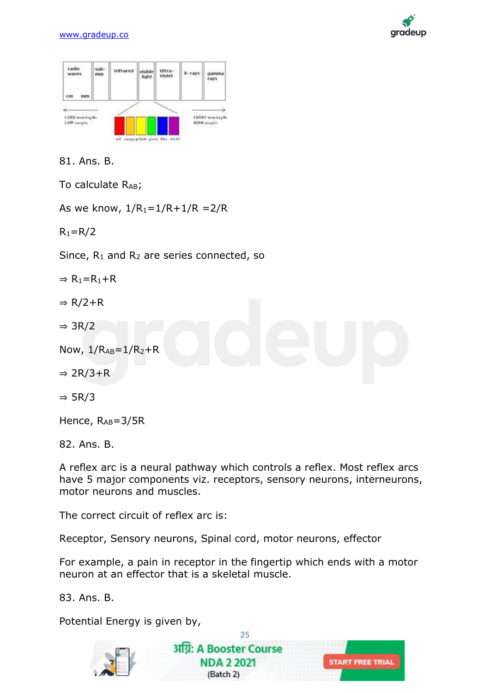



81. Ans. B.

To calculate  $R_{AB}$ ;

As we know,  $1/R_1 = 1/R + 1/R = 2/R$ 

 $R_1 = R/2$ 

Since,  $R_1$  and  $R_2$  are series connected, so

- $\Rightarrow$  R<sub>1</sub>=R<sub>1</sub>+R
- $\Rightarrow$  R/2+R
- ⇒ 3R/2
- Now,  $1/R_{AB} = 1/R_2 + R$
- $\Rightarrow$  2R/3+R
- ⇒ 5R/3

Hence, RAB=3/5R

82. Ans. B.

A reflex arc is a neural pathway which controls a reflex. Most reflex arcs have 5 major components viz. receptors, sensory neurons, interneurons, motor neurons and muscles.

The correct circuit of reflex arc is:

Receptor, Sensory neurons, Spinal cord, motor neurons, effector

For example, a pain in receptor in the fingertip which ends with a motor neuron at an effector that is a skeletal muscle.

83. Ans. B.

Potential Energy is given by,



25 अग्रि: A Booster Course **NDA 2 2021** (Batch 2)

**START FREE TRIAL**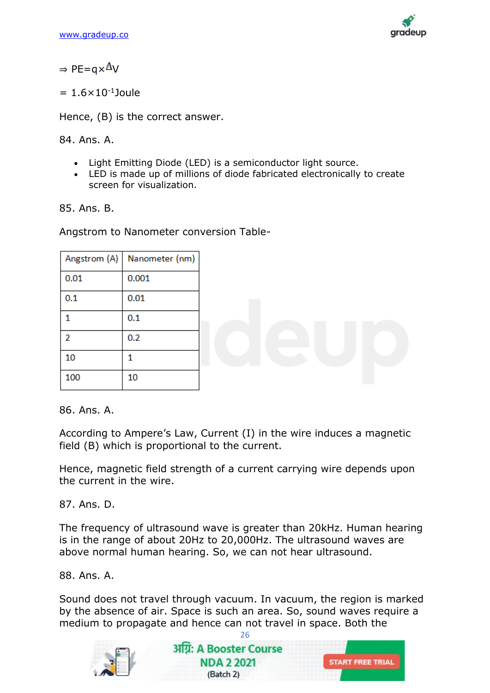

 $\Rightarrow$  PE=q $\times \Delta V$ 

 $= 1.6 \times 10^{-1}$ Joule

Hence, (B) is the correct answer.

84. Ans. A.

- Light Emitting Diode (LED) is a semiconductor light source.
- LED is made up of millions of diode fabricated electronically to create screen for visualization.

85. Ans. B.

Angstrom to Nanometer conversion Table-

|      | Angstrom (A)   Nanometer (nm) |
|------|-------------------------------|
| 0.01 | 0.001                         |
| 0.1  | 0.01                          |
|      | 0.1                           |
| 2    | 0.2                           |
| 10   |                               |
| 100  | 10                            |

86. Ans. A.

According to Ampere's Law, Current (I) in the wire induces a magnetic field (B) which is proportional to the current.

Hence, magnetic field strength of a current carrying wire depends upon the current in the wire.

87. Ans. D.

The frequency of ultrasound wave is greater than 20kHz. Human hearing is in the range of about 20Hz to 20,000Hz. The ultrasound waves are above normal human hearing. So, we can not hear ultrasound.

88. Ans. A.

Sound does not travel through vacuum. In vacuum, the region is marked by the absence of air. Space is such an area. So, sound waves require a medium to propagate and hence can not travel in space. Both the

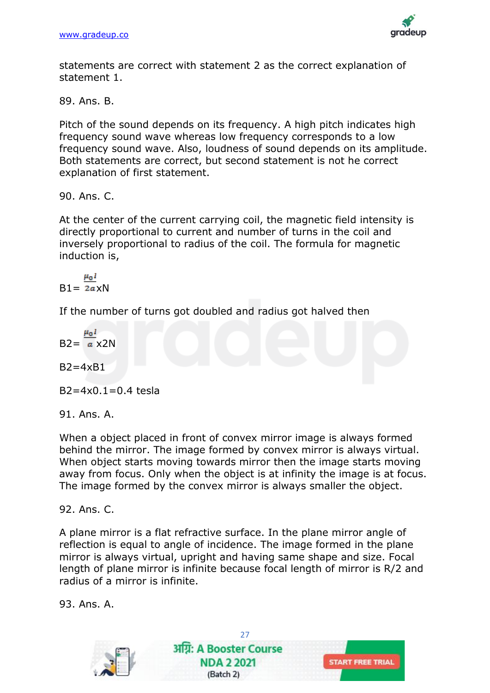

statements are correct with statement 2 as the correct explanation of statement 1.

89. Ans. B.

Pitch of the sound depends on its frequency. A high pitch indicates high frequency sound wave whereas low frequency corresponds to a low frequency sound wave. Also, loudness of sound depends on its amplitude. Both statements are correct, but second statement is not he correct explanation of first statement.

90. Ans. C.

At the center of the current carrying coil, the magnetic field intensity is directly proportional to current and number of turns in the coil and inversely proportional to radius of the coil. The formula for magnetic induction is,

 $\mu_0 I$  $B1 = 2a \times N$ 

If the number of turns got doubled and radius got halved then

$$
B2 = \frac{\mu_0 I}{a} \times 2N
$$

 $B2=4xB1$ 

 $B2 = 4 \times 0.1 = 0.4$  tesla

91. Ans. A.

When a object placed in front of convex mirror image is always formed behind the mirror. The image formed by convex mirror is always virtual. When object starts moving towards mirror then the image starts moving away from focus. Only when the object is at infinity the image is at focus. The image formed by the convex mirror is always smaller the object.

92. Ans. C.

A plane mirror is a flat refractive surface. In the plane mirror angle of reflection is equal to angle of incidence. The image formed in the plane mirror is always virtual, upright and having same shape and size. Focal length of plane mirror is infinite because focal length of mirror is R/2 and radius of a mirror is infinite.

93. Ans. A.

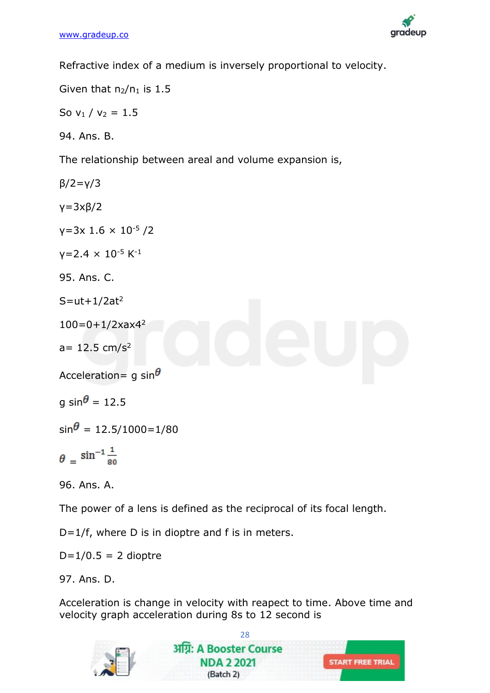

Refractive index of a medium is inversely proportional to velocity.

Given that  $n_2/n_1$  is 1.5

So  $v_1 / v_2 = 1.5$ 

94. Ans. B.

The relationship between areal and volume expansion is,

β/2=γ/3

γ=3xβ/2

 $y=3x$  1.6  $\times$  10<sup>-5</sup> /2

 $y=2.4 \times 10^{-5}$  K<sup>-1</sup>

95. Ans. C.

 $S=$ ut+1/2at<sup>2</sup>

 $100=0+1/2x$ ax4<sup>2</sup>

 $a= 12.5$  cm/s<sup>2</sup>

Acceleration= g sin $\theta$ 

a sin $\theta$  = 12.5

 $\sin^2$  = 12.5/1000=1/80

 $\theta = \sin^{-1} \frac{1}{80}$ 

96. Ans. A.

The power of a lens is defined as the reciprocal of its focal length.

D=1/f, where D is in dioptre and f is in meters.

 $D=1/0.5 = 2$  dioptre

97. Ans. D.

Acceleration is change in velocity with reapect to time. Above time and velocity graph acceleration during 8s to 12 second is

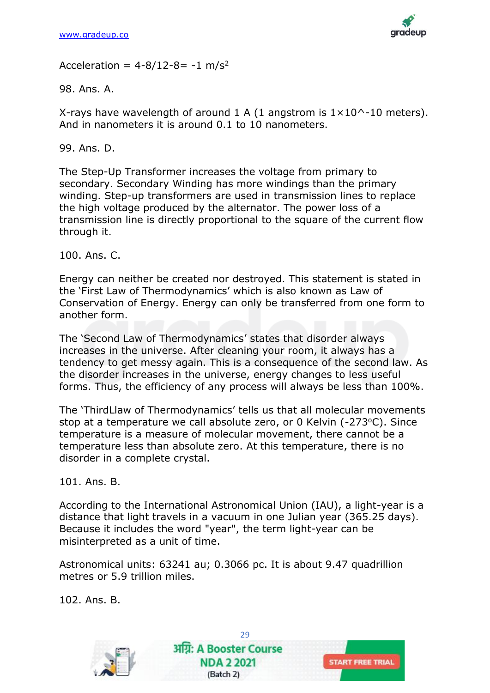

Acceleration =  $4 - 8/12 - 8 = -1$  m/s<sup>2</sup>

98. Ans. A.

X-rays have wavelength of around 1 A (1 angstrom is  $1 \times 10$  ^-10 meters). And in nanometers it is around 0.1 to 10 nanometers.

99. Ans. D.

The Step-Up Transformer increases the voltage from primary to secondary. Secondary Winding has more windings than the primary winding. Step-up transformers are used in transmission lines to replace the high voltage produced by the alternator. The power loss of a transmission line is directly proportional to the square of the current flow through it.

100. Ans. C.

Energy can neither be created nor destroyed. This statement is stated in the 'First Law of Thermodynamics' which is also known as Law of Conservation of Energy. Energy can only be transferred from one form to another form.

The 'Second Law of Thermodynamics' states that disorder always increases in the universe. After cleaning your room, it always has a tendency to get messy again. This is a consequence of the second law. As the disorder increases in the universe, energy changes to less useful forms. Thus, the efficiency of any process will always be less than 100%.

The 'ThirdLlaw of Thermodynamics' tells us that all molecular movements stop at a temperature we call absolute zero, or 0 Kelvin (-273°C). Since temperature is a measure of molecular movement, there cannot be a temperature less than absolute zero. At this temperature, there is no disorder in a complete crystal.

101. Ans. B.

According to the International Astronomical Union (IAU), a light-year is a distance that light travels in a vacuum in one Julian year (365.25 days). Because it includes the word "year", the term light-year can be misinterpreted as a unit of time.

Astronomical units: 63241 au; 0.3066 pc. It is about 9.47 quadrillion metres or 5.9 trillion miles.

102. Ans. B.

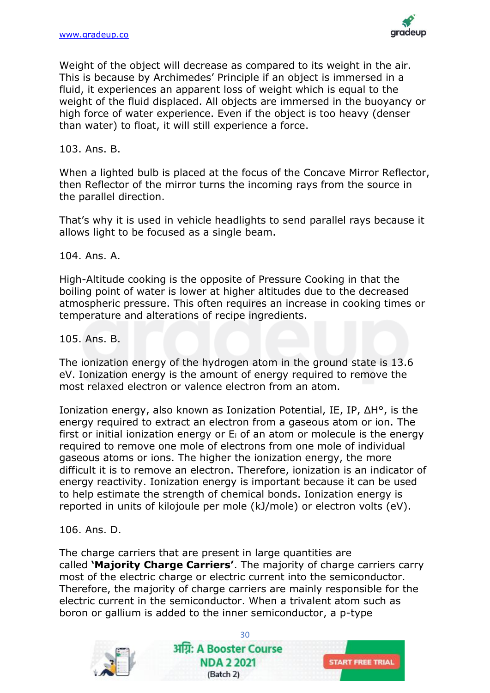

Weight of the object will decrease as compared to its weight in the air. This is because by Archimedes' Principle if an object is immersed in a fluid, it experiences an apparent loss of weight which is equal to the weight of the fluid displaced. All objects are immersed in the buoyancy or high force of water experience. Even if the object is too heavy (denser than water) to float, it will still experience a force.

103. Ans. B.

When a lighted bulb is placed at the focus of the Concave Mirror Reflector, then Reflector of the mirror turns the incoming rays from the source in the parallel direction.

That's why it is used in vehicle headlights to send parallel rays because it allows light to be focused as a single beam.

104. Ans. A.

High-Altitude cooking is the opposite of Pressure Cooking in that the boiling point of water is lower at higher altitudes due to the decreased atmospheric pressure. This often requires an increase in cooking times or temperature and alterations of recipe ingredients.

105. Ans. B.

The ionization energy of the hydrogen atom in the ground state is 13.6 eV. Ionization energy is the amount of energy required to remove the most relaxed electron or valence electron from an atom.

Ionization energy, also known as Ionization Potential, IE, IP, ΔH°, is the energy required to extract an electron from a gaseous atom or ion. The first or initial ionization energy or  $E_i$  of an atom or molecule is the energy required to remove one mole of electrons from one mole of individual gaseous atoms or ions. The higher the ionization energy, the more difficult it is to remove an electron. Therefore, ionization is an indicator of energy reactivity. Ionization energy is important because it can be used to help estimate the strength of chemical bonds. Ionization energy is reported in units of kilojoule per mole (kJ/mole) or electron volts (eV).

106. Ans. D.

The charge carriers that are present in large quantities are called **'Majority Charge Carriers'**. The majority of charge carriers carry most of the electric charge or electric current into the semiconductor. Therefore, the majority of charge carriers are mainly responsible for the electric current in the semiconductor. When a trivalent atom such as boron or gallium is added to the inner semiconductor, a p-type

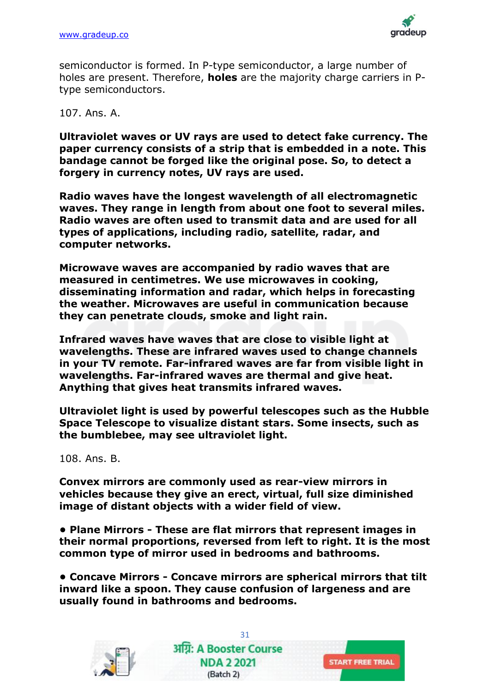

semiconductor is formed. In P-type semiconductor, a large number of holes are present. Therefore, **holes** are the majority charge carriers in Ptype semiconductors.

#### 107. Ans. A.

**Ultraviolet waves or UV rays are used to detect fake currency. The paper currency consists of a strip that is embedded in a note. This bandage cannot be forged like the original pose. So, to detect a forgery in currency notes, UV rays are used.**

**Radio waves have the longest wavelength of all electromagnetic waves. They range in length from about one foot to several miles. Radio waves are often used to transmit data and are used for all types of applications, including radio, satellite, radar, and computer networks.**

**Microwave waves are accompanied by radio waves that are measured in centimetres. We use microwaves in cooking, disseminating information and radar, which helps in forecasting the weather. Microwaves are useful in communication because they can penetrate clouds, smoke and light rain.**

**Infrared waves have waves that are close to visible light at wavelengths. These are infrared waves used to change channels in your TV remote. Far-infrared waves are far from visible light in wavelengths. Far-infrared waves are thermal and give heat. Anything that gives heat transmits infrared waves.**

**Ultraviolet light is used by powerful telescopes such as the Hubble Space Telescope to visualize distant stars. Some insects, such as the bumblebee, may see ultraviolet light.**

108. Ans. B.

**Convex mirrors are commonly used as rear-view mirrors in vehicles because they give an erect, virtual, full size diminished image of distant objects with a wider field of view.**

**• Plane Mirrors - These are flat mirrors that represent images in their normal proportions, reversed from left to right. It is the most common type of mirror used in bedrooms and bathrooms.**

**• Concave Mirrors - Concave mirrors are spherical mirrors that tilt inward like a spoon. They cause confusion of largeness and are usually found in bathrooms and bedrooms.**



31 अग्रि: A Booster Course **NDA 2 2021** (Batch 2)

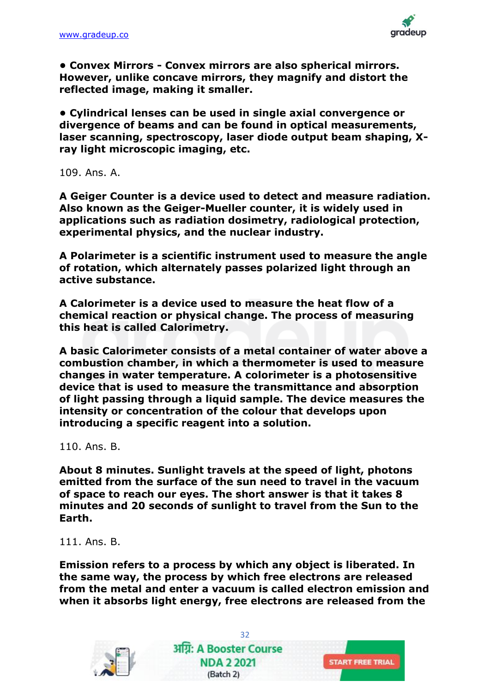

**• Convex Mirrors - Convex mirrors are also spherical mirrors. However, unlike concave mirrors, they magnify and distort the reflected image, making it smaller.**

**• Cylindrical lenses can be used in single axial convergence or divergence of beams and can be found in optical measurements, laser scanning, spectroscopy, laser diode output beam shaping, Xray light microscopic imaging, etc.**

109. Ans. A.

**A Geiger Counter is a device used to detect and measure radiation. Also known as the Geiger-Mueller counter, it is widely used in applications such as radiation dosimetry, radiological protection, experimental physics, and the nuclear industry.**

**A Polarimeter is a scientific instrument used to measure the angle of rotation, which alternately passes polarized light through an active substance.**

**A Calorimeter is a device used to measure the heat flow of a chemical reaction or physical change. The process of measuring this heat is called Calorimetry.**

**A basic Calorimeter consists of a metal container of water above a combustion chamber, in which a thermometer is used to measure changes in water temperature. A colorimeter is a photosensitive device that is used to measure the transmittance and absorption of light passing through a liquid sample. The device measures the intensity or concentration of the colour that develops upon introducing a specific reagent into a solution.**

110. Ans. B.

**About 8 minutes. Sunlight travels at the speed of light, photons emitted from the surface of the sun need to travel in the vacuum of space to reach our eyes. The short answer is that it takes 8 minutes and 20 seconds of sunlight to travel from the Sun to the Earth.**

111. Ans. B.

**Emission refers to a process by which any object is liberated. In the same way, the process by which free electrons are released from the metal and enter a vacuum is called electron emission and when it absorbs light energy, free electrons are released from the** 



32 अग्रि: A Booster Course **NDA 2 2021** (Batch 2)

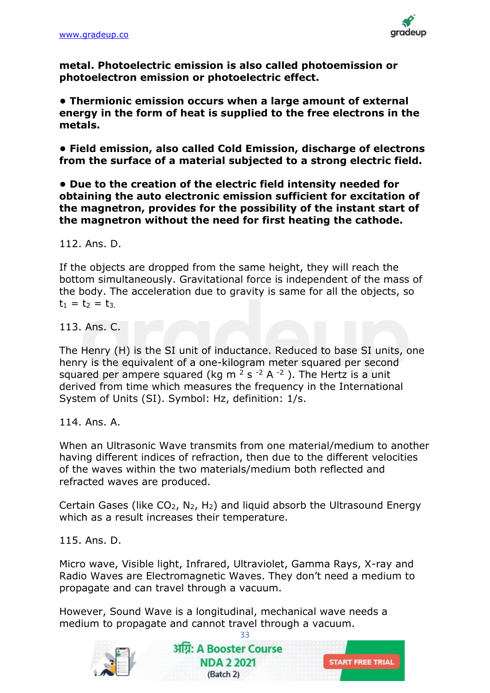

**metal. Photoelectric emission is also called photoemission or photoelectron emission or photoelectric effect.**

**• Thermionic emission occurs when a large amount of external energy in the form of heat is supplied to the free electrons in the metals.**

**• Field emission, also called Cold Emission, discharge of electrons from the surface of a material subjected to a strong electric field.**

**• Due to the creation of the electric field intensity needed for obtaining the auto electronic emission sufficient for excitation of the magnetron, provides for the possibility of the instant start of the magnetron without the need for first heating the cathode.**

112. Ans. D.

If the objects are dropped from the same height, they will reach the bottom simultaneously. Gravitational force is independent of the mass of the body. The acceleration due to gravity is same for all the objects, so  $t_1 = t_2 = t_3$ .

113. Ans. C.

The Henry (H) is the SI unit of inductance. Reduced to base SI units, one henry is the equivalent of a one-kilogram meter squared per second squared per ampere squared (kg m  $2$  s  $-2$  A  $-2$ ). The Hertz is a unit derived from time which measures the frequency in the International System of Units (SI). Symbol: Hz, definition: 1/s.

114. Ans. A.

When an Ultrasonic Wave transmits from one material/medium to another having different indices of refraction, then due to the different velocities of the waves within the two materials/medium both reflected and refracted waves are produced.

Certain Gases (like  $CO<sub>2</sub>$ , N<sub>2</sub>, H<sub>2</sub>) and liquid absorb the Ultrasound Energy which as a result increases their temperature.

115. Ans. D.

Micro wave, Visible light, Infrared, Ultraviolet, Gamma Rays, X-ray and Radio Waves are Electromagnetic Waves. They don't need a medium to propagate and can travel through a vacuum.

However, Sound Wave is a longitudinal, mechanical wave needs a medium to propagate and cannot travel through a vacuum.

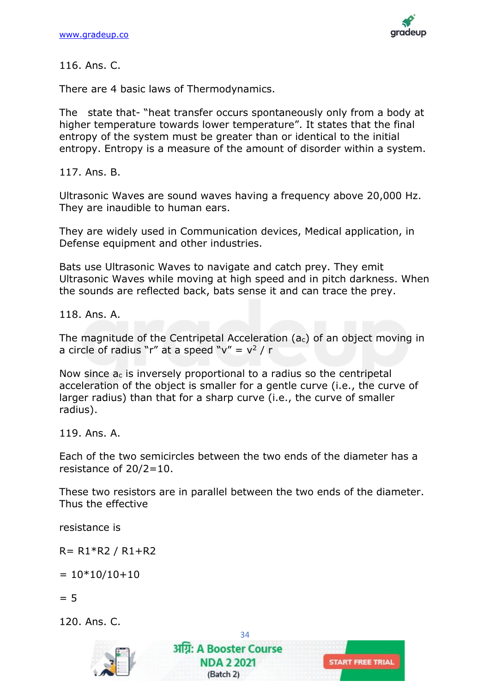

116. Ans. C.

There are 4 basic laws of Thermodynamics.

The state that- "heat transfer occurs spontaneously only from a body at higher temperature towards lower temperature". It states that the final entropy of the system must be greater than or identical to the initial entropy. Entropy is a measure of the amount of disorder within a system.

117. Ans. B.

Ultrasonic Waves are sound waves having a frequency above 20,000 Hz. They are inaudible to human ears.

They are widely used in Communication devices, Medical application, in Defense equipment and other industries.

Bats use Ultrasonic Waves to navigate and catch prey. They emit Ultrasonic Waves while moving at high speed and in pitch darkness. When the sounds are reflected back, bats sense it and can trace the prey.

118. Ans. A.

The magnitude of the Centripetal Acceleration ( $a<sub>c</sub>$ ) of an object moving in a circle of radius "r" at a speed " $v'' = v^2 / r$ 

Now since  $a<sub>c</sub>$  is inversely proportional to a radius so the centripetal acceleration of the object is smaller for a gentle curve (i.e., the curve of larger radius) than that for a sharp curve (i.e., the curve of smaller radius).

119. Ans. A.

Each of the two semicircles between the two ends of the diameter has a resistance of 20/2=10.

These two resistors are in parallel between the two ends of the diameter. Thus the effective

34

**START FREE TRIAL** 

अग्रि: A Booster Course **NDA 2 2021** 

(Batch 2)

resistance is

R= R1\*R2 / R1+R2

 $= 10*10/10+10$ 

 $= 5$ 

120. Ans. C.

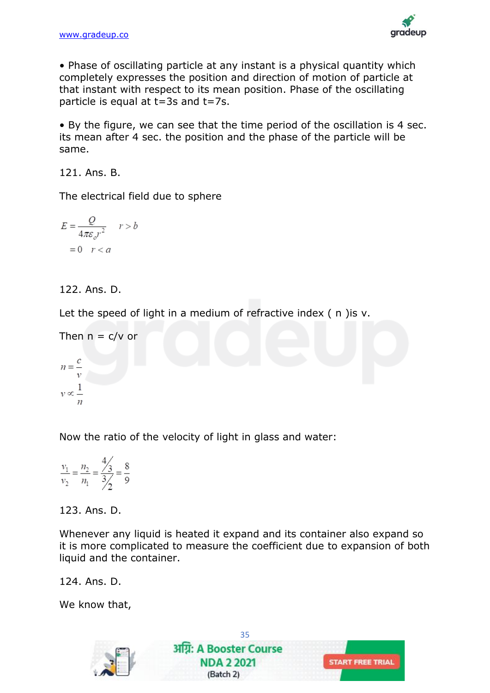

• Phase of oscillating particle at any instant is a physical quantity which completely expresses the position and direction of motion of particle at that instant with respect to its mean position. Phase of the oscillating particle is equal at t=3s and t=7s.

• By the figure, we can see that the time period of the oscillation is 4 sec. its mean after 4 sec. the position and the phase of the particle will be same.

121. Ans. B.

The electrical field due to sphere

$$
E = \frac{Q}{4\pi\varepsilon_o r^2} \quad r > b
$$

$$
= 0 \quad r < a
$$

# 122. Ans. D.

Let the speed of light in a medium of refractive index (n) is v.

Then 
$$
n = c/v
$$
 or

 $n =$  $v \propto \frac{1}{\sqrt{2}}$ 

Now the ratio of the velocity of light in glass and water:

$$
\frac{v_1}{v_2} = \frac{n_2}{n_1} = \frac{\frac{4}{3}}{\frac{3}{3}} = \frac{8}{9}
$$

#### 123. Ans. D.

Whenever any liquid is heated it expand and its container also expand so it is more complicated to measure the coefficient due to expansion of both liquid and the container.

124. Ans. D.

We know that,

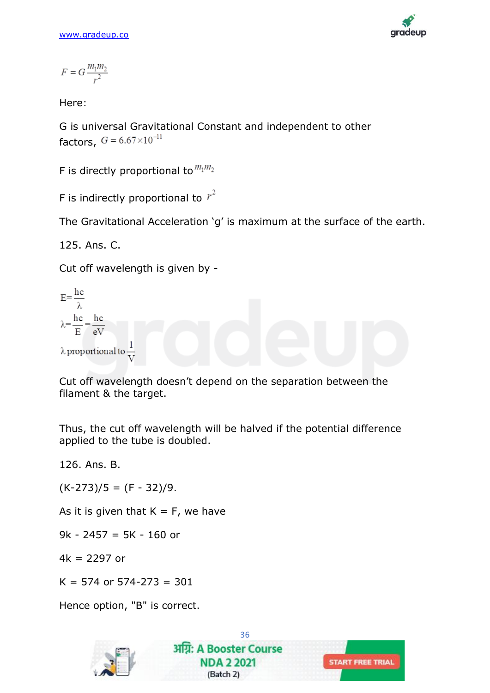

$$
F=G\frac{m_1m_2}{r^2}
$$

Here:

G is universal Gravitational Constant and independent to other factors,  $G = 6.67 \times 10^{-11}$ 

F is directly proportional to  $m_1m_2$ 

F is indirectly proportional to  $r^2$ 

The Gravitational Acceleration 'g' is maximum at the surface of the earth.

125. Ans. C.

Cut off wavelength is given by -

$$
E = \frac{hc}{\lambda}
$$
  
\n
$$
\lambda = \frac{hc}{E} = \frac{hc}{eV}
$$
  
\n
$$
\lambda
$$
proportional to  $\frac{1}{V}$ 

Cut off wavelength doesn't depend on the separation between the filament & the target.

Thus, the cut off wavelength will be halved if the potential difference applied to the tube is doubled.

126. Ans. B.

 $(K-273)/5 = (F - 32)/9.$ 

As it is given that  $K = F$ , we have

9k - 2457 = 5K - 160 or

 $4k = 2297$  or

 $K = 574$  or  $574 - 273 = 301$ 

Hence option, "B" is correct.